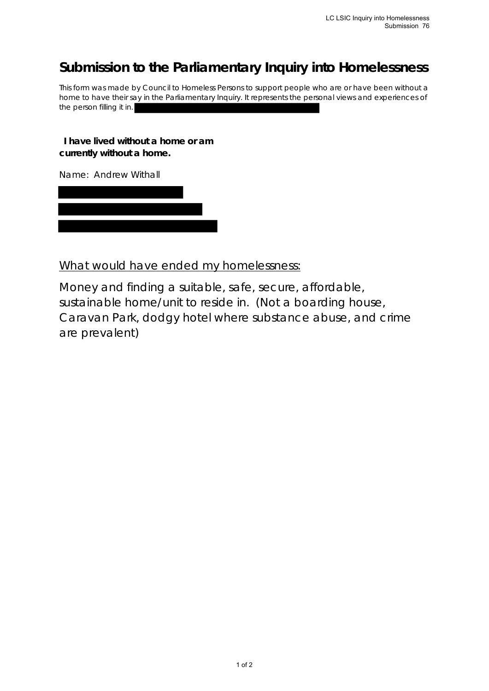## **Submission to the Parliamentary Inquiry into Homelessness**

This form was made by Council to Homeless Persons to support people who are or have been without a home to have their say in the Parliamentary Inquiry. It represents the personal views and experiences of the person filling it in.

**I have lived without a home or am currently without a home.**

Name: Andrew Withall

What would have ended my homelessness:

Money and finding a suitable, safe, secure, affordable, sustainable home/unit to reside in. (Not a boarding house, Caravan Park, dodgy hotel where substance abuse, and crime are prevalent)